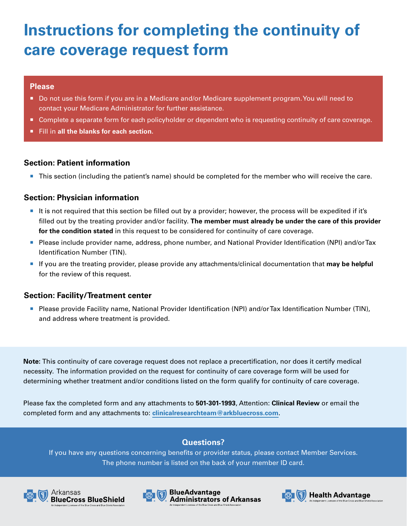# **Instructions for completing the continuity of care coverage request form**

### **Please**

- Do not use this form if you are in a Medicare and/or Medicare supplement program. You will need to contact your Medicare Administrator for further assistance.
- Complete a separate form for each policyholder or dependent who is requesting continuity of care coverage.
- **Fill in all the blanks for each section.**

### **Section: Patient information**

■ This section (including the patient's name) should be completed for the member who will receive the care.

## **Section: Physician information**

- ¡ It is not required that this section be filled out by a provider; however, the process will be expedited if it's filled out by the treating provider and/or facility. **The member must already be under the care of this provider for the condition stated** in this request to be considered for continuity of care coverage.
- ¡ Please include provider name, address, phone number, and National Provider Identification (NPI) and/or Tax Identification Number (TIN).
- ¡ If you are the treating provider, please provide any attachments/clinical documentation that **may be helpful** for the review of this request.

### **Section: Facility/Treatment center**

¡ Please provide Facility name, National Provider Identification (NPI) and/or Tax Identification Number (TIN), and address where treatment is provided.

**Note:** This continuity of care coverage request does not replace a precertification, nor does it certify medical necessity. The information provided on the request for continuity of care coverage form will be used for determining whether treatment and/or conditions listed on the form qualify for continuity of care coverage.

Please fax the completed form and any attachments to **501-301-1993**, Attention: **Clinical Review** or email the completed form and any attachments to: **[clinicalresearchteam@arkbluecross.com](mailto:clinicalresearchteam%40arkbluecross.com?subject=)**.

# **Questions?**

If you have any questions concerning benefits or provider status, please contact Member Services. The phone number is listed on the back of your member ID card.







**BlueAdvantage Administrators of Arkansas** 

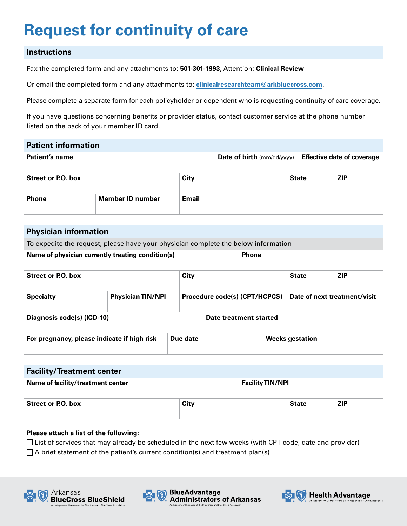# **Request for continuity of care**

### **Instructions**

Fax the completed form and any attachments to: **501-301-1993**, Attention: **Clinical Review**

Or email the completed form and any attachments to: **[clinicalresearchteam@arkbluecross.com](mailto:clinicalresearchteam%40arkbluecross.com?subject=Pre-Service%20Review)**.

Please complete a separate form for each policyholder or dependent who is requesting continuity of care coverage.

If you have questions concerning benefits or provider status, contact customer service at the phone number listed on the back of your member ID card.

| <b>Patient information</b> |                  |              |                                           |              |                                   |
|----------------------------|------------------|--------------|-------------------------------------------|--------------|-----------------------------------|
| Patient's name             |                  |              | <b>Date of birth</b> $\text{(mm/dd/yyy)}$ |              | <b>Effective date of coverage</b> |
| <b>Street or P.O. box</b>  |                  | City         |                                           | <b>State</b> | <b>ZIP</b>                        |
| <b>Phone</b>               | Member ID number | <b>Email</b> |                                           |              |                                   |

### **Physician information**

To expedite the request, please have your physician complete the below information

#### **Name of physician currently treating condition(s)**  $\blacksquare$  **Phone**

| Street or P.O. box                          |                          | City     |                               |  | <b>State</b>                 | <b>ZIP</b> |
|---------------------------------------------|--------------------------|----------|-------------------------------|--|------------------------------|------------|
| <b>Specialty</b>                            | <b>Physician TIN/NPI</b> |          | Procedure code(s) (CPT/HCPCS) |  | Date of next treatment/visit |            |
| Diagnosis code(s) (ICD-10)                  |                          |          | Date treatment started        |  |                              |            |
| For pregnancy, please indicate if high risk |                          | Due date |                               |  | <b>Weeks gestation</b>       |            |

| <b>Facility/Treatment center</b>  |      |                         |              |            |
|-----------------------------------|------|-------------------------|--------------|------------|
| Name of facility/treatment center |      | <b>Facility TIN/NPI</b> |              |            |
| <b>Street or P.O. box</b>         | City |                         | <b>State</b> | <b>ZIP</b> |

#### **Please attach a list of the following:**

 $\Box$  List of services that may already be scheduled in the next few weeks (with CPT code, date and provider)

 $\Box$  A brief statement of the patient's current condition(s) and treatment plan(s)